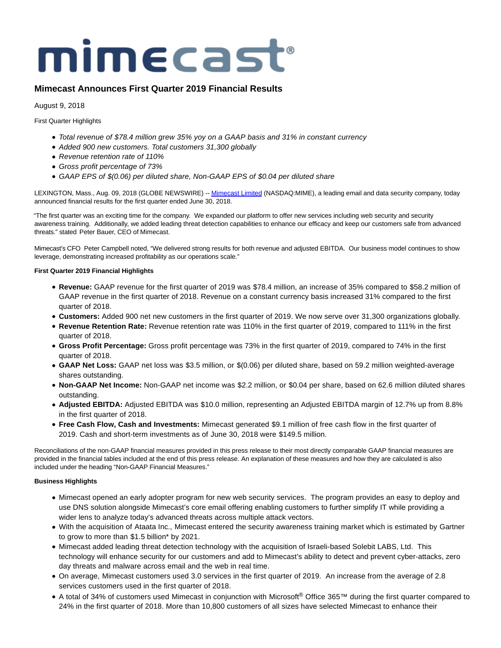# mimecast®

# **Mimecast Announces First Quarter 2019 Financial Results**

August 9, 2018

First Quarter Highlights

- Total revenue of \$78.4 million grew 35% yoy on a GAAP basis and 31% in constant currency
- Added 900 new customers. Total customers 31,300 globally
- Revenue retention rate of 110%
- Gross profit percentage of 73%
- GAAP EPS of \$(0.06) per diluted share, Non-GAAP EPS of \$0.04 per diluted share

LEXINGTON, Mass., Aug. 09, 2018 (GLOBE NEWSWIRE) -[- Mimecast Limited \(](https://www.globenewswire.com/Tracker?data=MbwiG_RT8bY60CDMX29zoAimalboh4rTJYGtQkblVAOhCxumAZqRtDl5vUQKxZ-0O_4ACmXTb7vaLLiqzGgn9w==)NASDAQ:MIME), a leading email and data security company, today announced financial results for the first quarter ended June 30, 2018.

"The first quarter was an exciting time for the company. We expanded our platform to offer new services including web security and security awareness training. Additionally, we added leading threat detection capabilities to enhance our efficacy and keep our customers safe from advanced threats." stated Peter Bauer, CEO of Mimecast.

Mimecast's CFO Peter Campbell noted, "We delivered strong results for both revenue and adjusted EBITDA. Our business model continues to show leverage, demonstrating increased profitability as our operations scale."

# **First Quarter 2019 Financial Highlights**

- **Revenue:** GAAP revenue for the first quarter of 2019 was \$78.4 million, an increase of 35% compared to \$58.2 million of GAAP revenue in the first quarter of 2018. Revenue on a constant currency basis increased 31% compared to the first quarter of 2018.
- **Customers:** Added 900 net new customers in the first quarter of 2019. We now serve over 31,300 organizations globally.
- **Revenue Retention Rate:** Revenue retention rate was 110% in the first quarter of 2019, compared to 111% in the first quarter of 2018.
- **Gross Profit Percentage:** Gross profit percentage was 73% in the first quarter of 2019, compared to 74% in the first quarter of 2018.
- **GAAP Net Loss:** GAAP net loss was \$3.5 million, or \$(0.06) per diluted share, based on 59.2 million weighted-average shares outstanding.
- **Non-GAAP Net Income:** Non-GAAP net income was \$2.2 million, or \$0.04 per share, based on 62.6 million diluted shares outstanding.
- **Adjusted EBITDA:** Adjusted EBITDA was \$10.0 million, representing an Adjusted EBITDA margin of 12.7% up from 8.8% in the first quarter of 2018.
- **Free Cash Flow, Cash and Investments:** Mimecast generated \$9.1 million of free cash flow in the first quarter of 2019. Cash and short-term investments as of June 30, 2018 were \$149.5 million.

Reconciliations of the non-GAAP financial measures provided in this press release to their most directly comparable GAAP financial measures are provided in the financial tables included at the end of this press release. An explanation of these measures and how they are calculated is also included under the heading "Non-GAAP Financial Measures."

# **Business Highlights**

- Mimecast opened an early adopter program for new web security services. The program provides an easy to deploy and use DNS solution alongside Mimecast's core email offering enabling customers to further simplify IT while providing a wider lens to analyze today's advanced threats across multiple attack vectors.
- With the acquisition of Ataata Inc., Mimecast entered the security awareness training market which is estimated by Gartner to grow to more than \$1.5 billion\* by 2021.
- Mimecast added leading threat detection technology with the acquisition of Israeli-based Solebit LABS, Ltd. This technology will enhance security for our customers and add to Mimecast's ability to detect and prevent cyber-attacks, zero day threats and malware across email and the web in real time.
- On average, Mimecast customers used 3.0 services in the first quarter of 2019. An increase from the average of 2.8 services customers used in the first quarter of 2018.
- A total of 34% of customers used Mimecast in conjunction with Microsoft® Office 365™ during the first quarter compared to 24% in the first quarter of 2018. More than 10,800 customers of all sizes have selected Mimecast to enhance their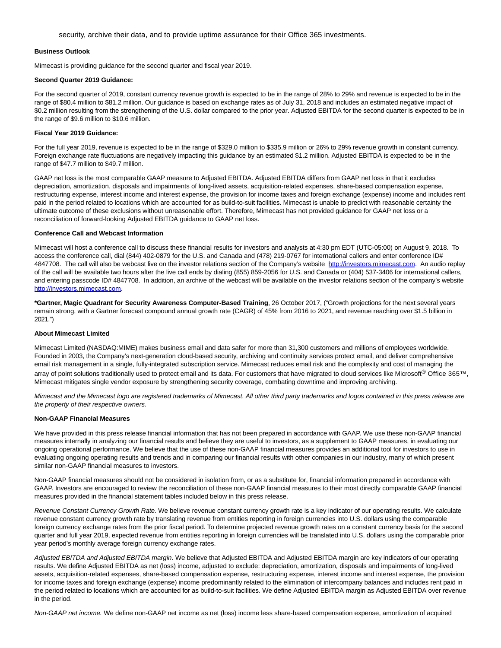security, archive their data, and to provide uptime assurance for their Office 365 investments.

### **Business Outlook**

Mimecast is providing guidance for the second quarter and fiscal year 2019.

### **Second Quarter 2019 Guidance:**

For the second quarter of 2019, constant currency revenue growth is expected to be in the range of 28% to 29% and revenue is expected to be in the range of \$80.4 million to \$81.2 million. Our guidance is based on exchange rates as of July 31, 2018 and includes an estimated negative impact of \$0.2 million resulting from the strengthening of the U.S. dollar compared to the prior year. Adjusted EBITDA for the second quarter is expected to be in the range of \$9.6 million to \$10.6 million.

### **Fiscal Year 2019 Guidance:**

For the full year 2019, revenue is expected to be in the range of \$329.0 million to \$335.9 million or 26% to 29% revenue growth in constant currency. Foreign exchange rate fluctuations are negatively impacting this guidance by an estimated \$1.2 million. Adjusted EBITDA is expected to be in the range of \$47.7 million to \$49.7 million.

GAAP net loss is the most comparable GAAP measure to Adjusted EBITDA. Adjusted EBITDA differs from GAAP net loss in that it excludes depreciation, amortization, disposals and impairments of long-lived assets, acquisition-related expenses, share-based compensation expense, restructuring expense, interest income and interest expense, the provision for income taxes and foreign exchange (expense) income and includes rent paid in the period related to locations which are accounted for as build-to-suit facilities. Mimecast is unable to predict with reasonable certainty the ultimate outcome of these exclusions without unreasonable effort. Therefore, Mimecast has not provided guidance for GAAP net loss or a reconciliation of forward-looking Adjusted EBITDA guidance to GAAP net loss.

### **Conference Call and Webcast Information**

Mimecast will host a conference call to discuss these financial results for investors and analysts at 4:30 pm EDT (UTC-05:00) on August 9, 2018. To access the conference call, dial (844) 402-0879 for the U.S. and Canada and (478) 219-0767 for international callers and enter conference ID# 4847708. The call will also be webcast live on the investor relations section of the Company's website [http://investors.mimecast.com.](https://www.globenewswire.com/Tracker?data=tuVtxIQvPA-dOCTHecOmRqYxjOXLa78ICtCuPFft44y6BIuRWdsM_2JVFq5mFeSykTEOtQbxymtiCs5u1QGHjeTsTc79vANT1PPm6Bm8DKndrXYQ2rLk3tE0tQxbpNZc) An audio replay of the call will be available two hours after the live call ends by dialing (855) 859-2056 for U.S. and Canada or (404) 537-3406 for international callers, and entering passcode ID# 4847708. In addition, an archive of the webcast will be available on the investor relations section of the company's website [http://investors.mimecast.com.](https://www.globenewswire.com/Tracker?data=tuVtxIQvPA-dOCTHecOmRqYxjOXLa78ICtCuPFft44yB2HwyDweAcO8RpUuYJQy5B4VqZq0YwBZz2KRZpFBLOPmlNii6ojsvCPxNoBq3ppU3sLH3SgOkOwbghwrti-dV)

**\*Gartner, Magic Quadrant for Security Awareness Computer-Based Training**, 26 October 2017, ("Growth projections for the next several years remain strong, with a Gartner forecast compound annual growth rate (CAGR) of 45% from 2016 to 2021, and revenue reaching over \$1.5 billion in 2021.")

## **About Mimecast Limited**

Mimecast Limited (NASDAQ:MIME) makes business email and data safer for more than 31,300 customers and millions of employees worldwide. Founded in 2003, the Company's next-generation cloud-based security, archiving and continuity services protect email, and deliver comprehensive email risk management in a single, fully-integrated subscription service. Mimecast reduces email risk and the complexity and cost of managing the array of point solutions traditionally used to protect email and its data. For customers that have migrated to cloud services like Microsoft® Office 365™, Mimecast mitigates single vendor exposure by strengthening security coverage, combating downtime and improving archiving.

Mimecast and the Mimecast logo are registered trademarks of Mimecast. All other third party trademarks and logos contained in this press release are the property of their respective owners.

### **Non-GAAP Financial Measures**

We have provided in this press release financial information that has not been prepared in accordance with GAAP. We use these non-GAAP financial measures internally in analyzing our financial results and believe they are useful to investors, as a supplement to GAAP measures, in evaluating our ongoing operational performance. We believe that the use of these non-GAAP financial measures provides an additional tool for investors to use in evaluating ongoing operating results and trends and in comparing our financial results with other companies in our industry, many of which present similar non-GAAP financial measures to investors.

Non-GAAP financial measures should not be considered in isolation from, or as a substitute for, financial information prepared in accordance with GAAP. Investors are encouraged to review the reconciliation of these non-GAAP financial measures to their most directly comparable GAAP financial measures provided in the financial statement tables included below in this press release.

Revenue Constant Currency Growth Rate. We believe revenue constant currency growth rate is a key indicator of our operating results. We calculate revenue constant currency growth rate by translating revenue from entities reporting in foreign currencies into U.S. dollars using the comparable foreign currency exchange rates from the prior fiscal period. To determine projected revenue growth rates on a constant currency basis for the second quarter and full year 2019, expected revenue from entities reporting in foreign currencies will be translated into U.S. dollars using the comparable prior year period's monthly average foreign currency exchange rates.

Adjusted EBITDA and Adjusted EBITDA margin. We believe that Adjusted EBITDA and Adjusted EBITDA margin are key indicators of our operating results. We define Adjusted EBITDA as net (loss) income, adjusted to exclude: depreciation, amortization, disposals and impairments of long-lived assets, acquisition-related expenses, share-based compensation expense, restructuring expense, interest income and interest expense, the provision for income taxes and foreign exchange (expense) income predominantly related to the elimination of intercompany balances and includes rent paid in the period related to locations which are accounted for as build-to-suit facilities. We define Adjusted EBITDA margin as Adjusted EBITDA over revenue in the period.

Non-GAAP net income. We define non-GAAP net income as net (loss) income less share-based compensation expense, amortization of acquired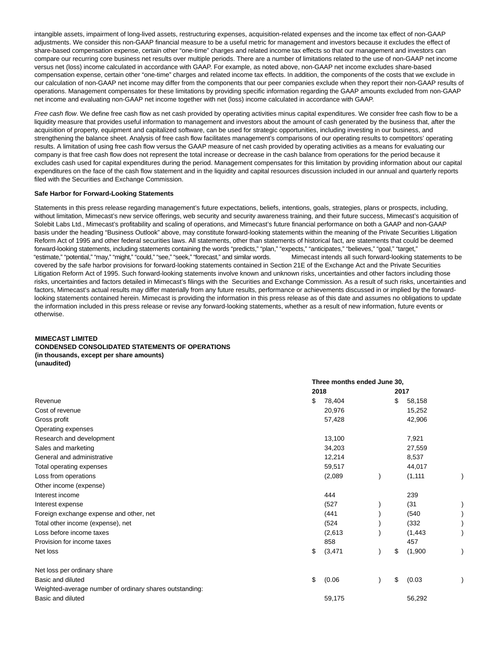intangible assets, impairment of long-lived assets, restructuring expenses, acquisition-related expenses and the income tax effect of non-GAAP adjustments. We consider this non-GAAP financial measure to be a useful metric for management and investors because it excludes the effect of share-based compensation expense, certain other "one-time" charges and related income tax effects so that our management and investors can compare our recurring core business net results over multiple periods. There are a number of limitations related to the use of non-GAAP net income versus net (loss) income calculated in accordance with GAAP. For example, as noted above, non-GAAP net income excludes share-based compensation expense, certain other "one-time" charges and related income tax effects. In addition, the components of the costs that we exclude in our calculation of non-GAAP net income may differ from the components that our peer companies exclude when they report their non-GAAP results of operations. Management compensates for these limitations by providing specific information regarding the GAAP amounts excluded from non-GAAP net income and evaluating non-GAAP net income together with net (loss) income calculated in accordance with GAAP.

Free cash flow. We define free cash flow as net cash provided by operating activities minus capital expenditures. We consider free cash flow to be a liquidity measure that provides useful information to management and investors about the amount of cash generated by the business that, after the acquisition of property, equipment and capitalized software, can be used for strategic opportunities, including investing in our business, and strengthening the balance sheet. Analysis of free cash flow facilitates management's comparisons of our operating results to competitors' operating results. A limitation of using free cash flow versus the GAAP measure of net cash provided by operating activities as a means for evaluating our company is that free cash flow does not represent the total increase or decrease in the cash balance from operations for the period because it excludes cash used for capital expenditures during the period. Management compensates for this limitation by providing information about our capital expenditures on the face of the cash flow statement and in the liquidity and capital resources discussion included in our annual and quarterly reports filed with the Securities and Exchange Commission.

### **Safe Harbor for Forward-Looking Statements**

Statements in this press release regarding management's future expectations, beliefs, intentions, goals, strategies, plans or prospects, including, without limitation, Mimecast's new service offerings, web security and security awareness training, and their future success, Mimecast's acquisition of Solebit Labs Ltd., Mimecast's profitability and scaling of operations, and Mimecast's future financial performance on both a GAAP and non-GAAP basis under the heading "Business Outlook" above, may constitute forward-looking statements within the meaning of the Private Securities Litigation Reform Act of 1995 and other federal securities laws. All statements, other than statements of historical fact, are statements that could be deemed forward-looking statements, including statements containing the words "predicts," "plan," "expects," "anticipates," "believes," "goal," "target," "estimate," "potential," "may," "might," "could," "see," "seek," "forecast," and similar words. Mimecast intends all such forward-looking statements to be covered by the safe harbor provisions for forward-looking statements contained in Section 21E of the Exchange Act and the Private Securities Litigation Reform Act of 1995. Such forward-looking statements involve known and unknown risks, uncertainties and other factors including those risks, uncertainties and factors detailed in Mimecast's filings with the Securities and Exchange Commission. As a result of such risks, uncertainties and factors, Mimecast's actual results may differ materially from any future results, performance or achievements discussed in or implied by the forwardlooking statements contained herein. Mimecast is providing the information in this press release as of this date and assumes no obligations to update the information included in this press release or revise any forward-looking statements, whether as a result of new information, future events or otherwise.

### **MIMECAST LIMITED**

### **CONDENSED CONSOLIDATED STATEMENTS OF OPERATIONS**

**(in thousands, except per share amounts)**

**(unaudited)**

|                                                         | Three months ended June 30, |          |  |      |          |  |
|---------------------------------------------------------|-----------------------------|----------|--|------|----------|--|
|                                                         |                             | 2018     |  | 2017 |          |  |
| Revenue                                                 |                             | 78,404   |  | \$   | 58,158   |  |
| Cost of revenue                                         |                             | 20,976   |  |      | 15,252   |  |
| Gross profit                                            |                             | 57,428   |  |      | 42,906   |  |
| Operating expenses                                      |                             |          |  |      |          |  |
| Research and development                                |                             | 13,100   |  |      | 7,921    |  |
| Sales and marketing                                     |                             | 34,203   |  |      | 27,559   |  |
| General and administrative                              |                             | 12,214   |  |      | 8,537    |  |
| Total operating expenses                                |                             | 59,517   |  |      | 44,017   |  |
| Loss from operations                                    |                             | (2,089)  |  |      | (1, 111) |  |
| Other income (expense)                                  |                             |          |  |      |          |  |
| Interest income                                         |                             | 444      |  |      | 239      |  |
| Interest expense                                        |                             | (527)    |  |      | (31)     |  |
| Foreign exchange expense and other, net                 |                             | (441)    |  |      | (540)    |  |
| Total other income (expense), net                       |                             | (524)    |  |      | (332)    |  |
| Loss before income taxes                                |                             | (2,613)  |  |      | (1, 443) |  |
| Provision for income taxes                              |                             | 858      |  |      | 457      |  |
| Net loss                                                | \$                          | (3, 471) |  | \$   | (1,900)  |  |
| Net loss per ordinary share                             |                             |          |  |      |          |  |
| Basic and diluted                                       | \$                          | (0.06)   |  | \$   | (0.03)   |  |
| Weighted-average number of ordinary shares outstanding: |                             |          |  |      |          |  |
| Basic and diluted                                       |                             | 59,175   |  |      | 56,292   |  |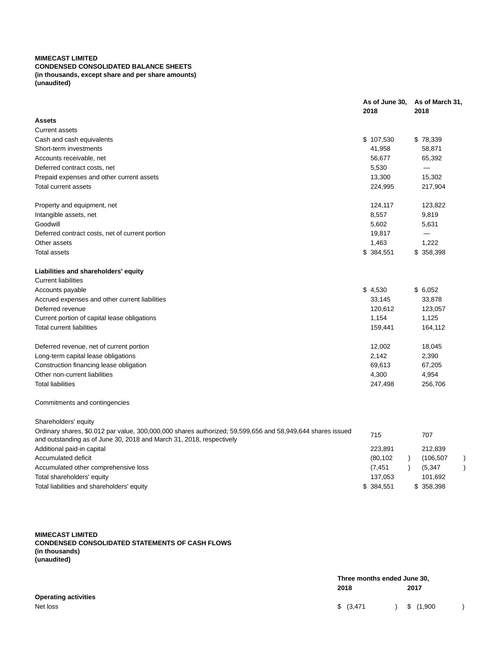# **MIMECAST LIMITED**

# **CONDENSED CONSOLIDATED BALANCE SHEETS (in thousands, except share and per share amounts) (unaudited)**

|                                                                                                                                                                                    | As of June 30,<br>2018 | As of March 31,<br>2018     |
|------------------------------------------------------------------------------------------------------------------------------------------------------------------------------------|------------------------|-----------------------------|
| Assets                                                                                                                                                                             |                        |                             |
| Current assets                                                                                                                                                                     |                        |                             |
| Cash and cash equivalents                                                                                                                                                          | \$107,530              | \$78,339                    |
| Short-term investments                                                                                                                                                             | 41,958                 | 58,871                      |
| Accounts receivable, net                                                                                                                                                           | 56,677                 | 65,392                      |
| Deferred contract costs, net                                                                                                                                                       | 5,530                  | $\equiv$                    |
| Prepaid expenses and other current assets                                                                                                                                          | 13,300                 | 15,302                      |
| <b>Total current assets</b>                                                                                                                                                        | 224,995                | 217,904                     |
| Property and equipment, net                                                                                                                                                        | 124,117                | 123,822                     |
| Intangible assets, net                                                                                                                                                             | 8,557                  | 9,819                       |
| Goodwill                                                                                                                                                                           | 5,602                  | 5,631                       |
| Deferred contract costs, net of current portion                                                                                                                                    | 19,817                 |                             |
| Other assets                                                                                                                                                                       | 1,463                  | 1,222                       |
| Total assets                                                                                                                                                                       | \$384,551              | \$358,398                   |
| Liabilities and shareholders' equity                                                                                                                                               |                        |                             |
| <b>Current liabilities</b>                                                                                                                                                         |                        |                             |
| Accounts payable                                                                                                                                                                   | \$4,530                | \$6,052                     |
| Accrued expenses and other current liabilities                                                                                                                                     | 33,145                 | 33,878                      |
| Deferred revenue                                                                                                                                                                   | 120,612                | 123,057                     |
| Current portion of capital lease obligations                                                                                                                                       | 1,154                  | 1,125                       |
| Total current liabilities                                                                                                                                                          | 159,441                | 164,112                     |
| Deferred revenue, net of current portion                                                                                                                                           | 12,002                 | 18,045                      |
| Long-term capital lease obligations                                                                                                                                                | 2,142                  | 2,390                       |
| Construction financing lease obligation                                                                                                                                            | 69,613                 | 67,205                      |
| Other non-current liabilities                                                                                                                                                      | 4,300                  | 4,954                       |
| <b>Total liabilities</b>                                                                                                                                                           | 247,498                | 256,706                     |
| Commitments and contingencies                                                                                                                                                      |                        |                             |
| Shareholders' equity                                                                                                                                                               |                        |                             |
| Ordinary shares, \$0.012 par value, 300,000,000 shares authorized; 59,599,656 and 58,949,644 shares issued<br>and outstanding as of June 30, 2018 and March 31, 2018, respectively | 715                    | 707                         |
| Additional paid-in capital                                                                                                                                                         | 223,891                | 212,839                     |
| Accumulated deficit                                                                                                                                                                | (80, 102)<br>$\lambda$ | (106, 507)<br>$\mathcal{C}$ |
| Accumulated other comprehensive loss                                                                                                                                               | (7, 451)               | $\mathcal{E}$<br>(5, 347)   |
| Total shareholders' equity                                                                                                                                                         | 137,053                | 101,692                     |
| Total liabilities and shareholders' equity                                                                                                                                         | \$384,551              | \$358,398                   |

**MIMECAST LIMITED CONDENSED CONSOLIDATED STATEMENTS OF CASH FLOWS (in thousands) (unaudited)**

|                             | Three months ended June 30, |           |  |
|-----------------------------|-----------------------------|-----------|--|
|                             | 2018                        | 2017      |  |
| <b>Operating activities</b> |                             |           |  |
| Net loss                    | \$ (3,471)                  | \$(1,900) |  |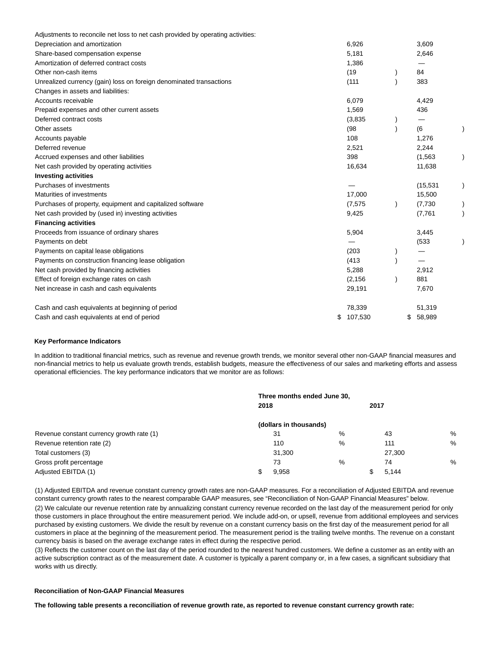| Adjustments to reconcile net loss to net cash provided by operating activities: |           |              |  |
|---------------------------------------------------------------------------------|-----------|--------------|--|
| Depreciation and amortization                                                   | 6,926     | 3,609        |  |
| Share-based compensation expense                                                | 5,181     | 2,646        |  |
| Amortization of deferred contract costs                                         | 1,386     |              |  |
| Other non-cash items                                                            | (19)      | 84           |  |
| Unrealized currency (gain) loss on foreign denominated transactions             | (111)     | 383          |  |
| Changes in assets and liabilities:                                              |           |              |  |
| Accounts receivable                                                             | 6,079     | 4,429        |  |
| Prepaid expenses and other current assets                                       | 1,569     | 436          |  |
| Deferred contract costs                                                         | (3,835)   |              |  |
| Other assets                                                                    | (98)      | (6           |  |
| Accounts payable                                                                | 108       | 1,276        |  |
| Deferred revenue                                                                | 2,521     | 2,244        |  |
| Accrued expenses and other liabilities                                          | 398       | (1, 563)     |  |
| Net cash provided by operating activities                                       | 16,634    | 11,638       |  |
| <b>Investing activities</b>                                                     |           |              |  |
| Purchases of investments                                                        |           | (15, 531)    |  |
| Maturities of investments                                                       | 17,000    | 15,500       |  |
| Purchases of property, equipment and capitalized software                       | (7, 575)  | (7,730)      |  |
| Net cash provided by (used in) investing activities                             | 9,425     | (7,761)      |  |
| <b>Financing activities</b>                                                     |           |              |  |
| Proceeds from issuance of ordinary shares                                       | 5,904     | 3,445        |  |
| Payments on debt                                                                |           | (533)        |  |
| Payments on capital lease obligations                                           | (203)     |              |  |
| Payments on construction financing lease obligation                             | (413)     |              |  |
| Net cash provided by financing activities                                       | 5,288     | 2,912        |  |
| Effect of foreign exchange rates on cash                                        | (2, 156)  | 881          |  |
| Net increase in cash and cash equivalents                                       | 29,191    | 7,670        |  |
| Cash and cash equivalents at beginning of period                                | 78,339    | 51,319       |  |
| Cash and cash equivalents at end of period                                      | \$107,530 | 58,989<br>\$ |  |

### **Key Performance Indicators**

In addition to traditional financial metrics, such as revenue and revenue growth trends, we monitor several other non-GAAP financial measures and non-financial metrics to help us evaluate growth trends, establish budgets, measure the effectiveness of our sales and marketing efforts and assess operational efficiencies. The key performance indicators that we monitor are as follows:

|                                           | Three months ended June 30, |                        |   |      |        |   |  |
|-------------------------------------------|-----------------------------|------------------------|---|------|--------|---|--|
|                                           | 2018                        |                        |   | 2017 |        |   |  |
|                                           |                             | (dollars in thousands) |   |      |        |   |  |
| Revenue constant currency growth rate (1) |                             | 31                     | % |      | 43     | % |  |
| Revenue retention rate (2)                |                             | 110                    | % |      | 111    | % |  |
| Total customers (3)                       |                             | 31,300                 |   |      | 27,300 |   |  |
| Gross profit percentage                   |                             | 73                     | % |      | 74     | % |  |
| Adjusted EBITDA (1)                       |                             | 9.958                  |   |      | 5.144  |   |  |

(1) Adjusted EBITDA and revenue constant currency growth rates are non-GAAP measures. For a reconciliation of Adjusted EBITDA and revenue constant currency growth rates to the nearest comparable GAAP measures, see "Reconciliation of Non-GAAP Financial Measures" below.

(2) We calculate our revenue retention rate by annualizing constant currency revenue recorded on the last day of the measurement period for only those customers in place throughout the entire measurement period. We include add-on, or upsell, revenue from additional employees and services purchased by existing customers. We divide the result by revenue on a constant currency basis on the first day of the measurement period for all customers in place at the beginning of the measurement period. The measurement period is the trailing twelve months. The revenue on a constant currency basis is based on the average exchange rates in effect during the respective period.

(3) Reflects the customer count on the last day of the period rounded to the nearest hundred customers. We define a customer as an entity with an active subscription contract as of the measurement date. A customer is typically a parent company or, in a few cases, a significant subsidiary that works with us directly.

# **Reconciliation of Non-GAAP Financial Measures**

**The following table presents a reconciliation of revenue growth rate, as reported to revenue constant currency growth rate:**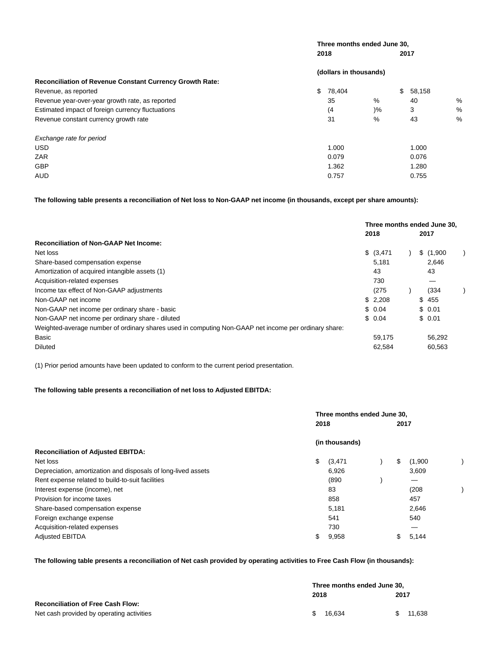| Three months ended June 30, |               |                        |               |  |  |  |
|-----------------------------|---------------|------------------------|---------------|--|--|--|
|                             |               | 2017                   |               |  |  |  |
|                             |               |                        |               |  |  |  |
|                             |               |                        |               |  |  |  |
| 78,404                      |               | \$<br>58,158           |               |  |  |  |
| 35                          | %             | 40                     | %             |  |  |  |
| (4)                         | $\frac{9}{6}$ | 3                      | $\frac{0}{0}$ |  |  |  |
| 31                          | %             | 43                     | $\frac{0}{0}$ |  |  |  |
|                             |               |                        |               |  |  |  |
| 1.000                       |               | 1.000                  |               |  |  |  |
| 0.079                       |               | 0.076                  |               |  |  |  |
| 1.362                       |               | 1.280                  |               |  |  |  |
| 0.757                       |               | 0.755                  |               |  |  |  |
|                             | 2018<br>\$    | (dollars in thousands) |               |  |  |  |

**The following table presents a reconciliation of Net loss to Non-GAAP net income (in thousands, except per share amounts):**

|                                                                                                      | Three months ended June 30.<br>2018 |  | 2017      |  |
|------------------------------------------------------------------------------------------------------|-------------------------------------|--|-----------|--|
| <b>Reconciliation of Non-GAAP Net Income:</b>                                                        |                                     |  |           |  |
| Net loss                                                                                             | \$ (3,471)                          |  | \$(1,900) |  |
| Share-based compensation expense                                                                     | 5.181                               |  | 2.646     |  |
| Amortization of acquired intangible assets (1)                                                       | 43                                  |  | 43        |  |
| Acquisition-related expenses                                                                         | 730                                 |  |           |  |
| Income tax effect of Non-GAAP adjustments                                                            | (275                                |  | (334      |  |
| Non-GAAP net income                                                                                  | \$2,208                             |  | \$455     |  |
| Non-GAAP net income per ordinary share - basic                                                       | \$0.04                              |  | \$0.01    |  |
| Non-GAAP net income per ordinary share - diluted                                                     | \$0.04                              |  | \$0.01    |  |
| Weighted-average number of ordinary shares used in computing Non-GAAP net income per ordinary share: |                                     |  |           |  |
| Basic                                                                                                | 59.175                              |  | 56.292    |  |
| <b>Diluted</b>                                                                                       | 62.584                              |  | 60.563    |  |

(1) Prior period amounts have been updated to conform to the current period presentation.

# **The following table presents a reconciliation of net loss to Adjusted EBITDA:**

|                                                               | Three months ended June 30, |                |  |      |         |  |  |  |
|---------------------------------------------------------------|-----------------------------|----------------|--|------|---------|--|--|--|
|                                                               | 2018                        |                |  | 2017 |         |  |  |  |
|                                                               |                             | (in thousands) |  |      |         |  |  |  |
| <b>Reconciliation of Adjusted EBITDA:</b>                     |                             |                |  |      |         |  |  |  |
| Net loss                                                      | \$                          | (3, 471)       |  | \$   | (1,900) |  |  |  |
| Depreciation, amortization and disposals of long-lived assets |                             | 6,926          |  |      | 3,609   |  |  |  |
| Rent expense related to build-to-suit facilities              |                             | (890)          |  |      | –       |  |  |  |
| Interest expense (income), net                                |                             | 83             |  |      | (208)   |  |  |  |
| Provision for income taxes                                    |                             | 858            |  |      | 457     |  |  |  |
| Share-based compensation expense                              |                             | 5,181          |  |      | 2,646   |  |  |  |
| Foreign exchange expense                                      |                             | 541            |  |      | 540     |  |  |  |
| Acquisition-related expenses                                  |                             | 730            |  |      |         |  |  |  |
| <b>Adjusted EBITDA</b>                                        | \$                          | 9,958          |  | S    | 5,144   |  |  |  |

**The following table presents a reconciliation of Net cash provided by operating activities to Free Cash Flow (in thousands):**

|                                           |      | Three months ended June 30, |  |        |
|-------------------------------------------|------|-----------------------------|--|--------|
|                                           | 2018 |                             |  | 2017   |
| <b>Reconciliation of Free Cash Flow:</b>  |      |                             |  |        |
| Net cash provided by operating activities | S.   | 16.634                      |  | 11.638 |